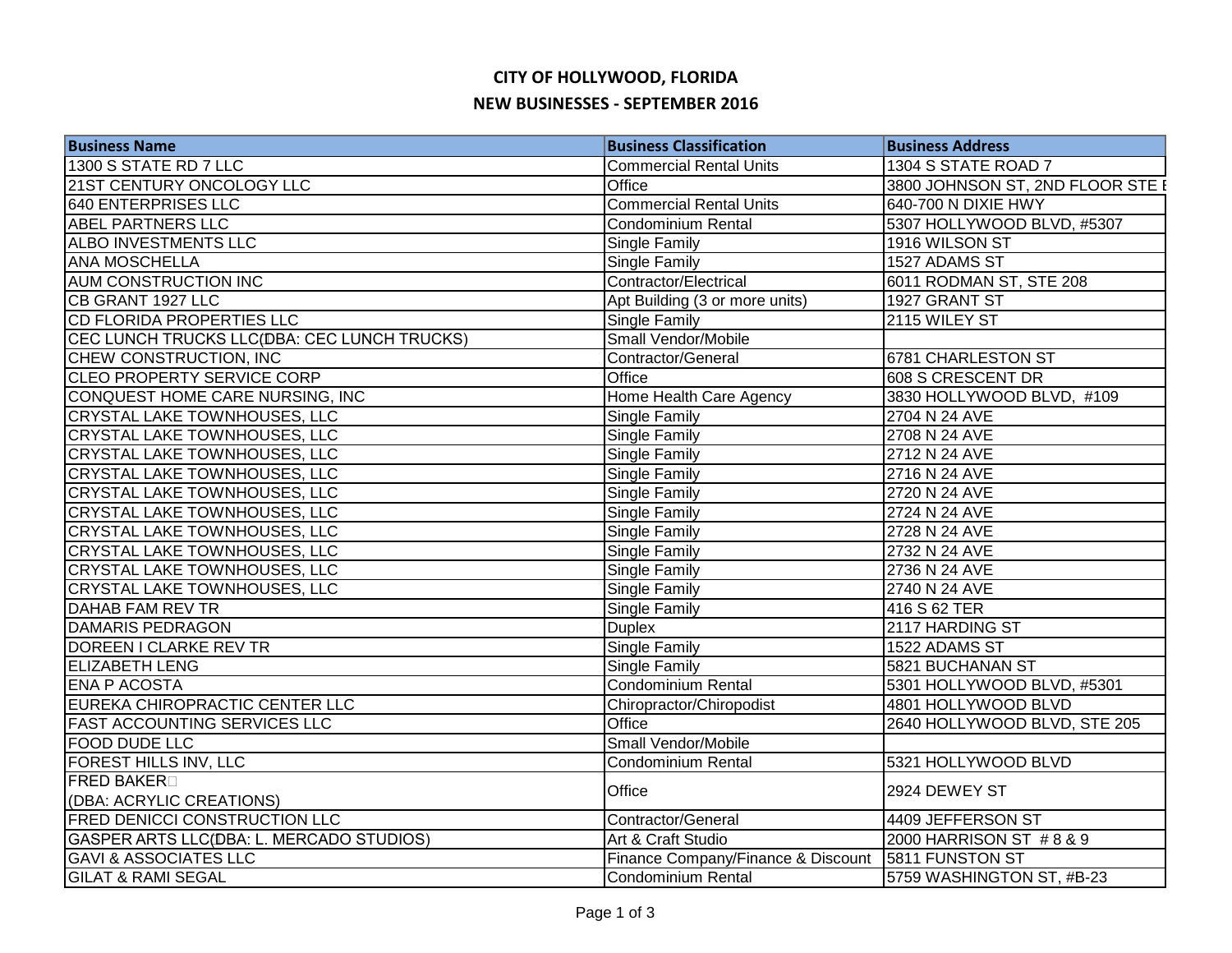## **CITY OF HOLLYWOOD, FLORIDA NEW BUSINESSES - SEPTEMBER 2016**

| <b>Business Name</b>                        | <b>Business Classification</b>     | <b>Business Address</b>          |
|---------------------------------------------|------------------------------------|----------------------------------|
| 1300 S STATE RD 7 LLC                       | <b>Commercial Rental Units</b>     | 1304 S STATE ROAD 7              |
| 21ST CENTURY ONCOLOGY LLC                   | Office                             | 3800 JOHNSON ST, 2ND FLOOR STE E |
| <b>640 ENTERPRISES LLC</b>                  | <b>Commercial Rental Units</b>     | 640-700 N DIXIE HWY              |
| <b>ABEL PARTNERS LLC</b>                    | <b>Condominium Rental</b>          | 5307 HOLLYWOOD BLVD, #5307       |
| ALBO INVESTMENTS LLC                        | Single Family                      | 1916 WILSON ST                   |
| <b>ANA MOSCHELLA</b>                        | Single Family                      | 1527 ADAMS ST                    |
| <b>AUM CONSTRUCTION INC</b>                 | Contractor/Electrical              | 6011 RODMAN ST, STE 208          |
| CB GRANT 1927 LLC                           | Apt Building (3 or more units)     | 1927 GRANT ST                    |
| <b>CD FLORIDA PROPERTIES LLC</b>            | Single Family                      | 2115 WILEY ST                    |
| CEC LUNCH TRUCKS LLC(DBA: CEC LUNCH TRUCKS) | Small Vendor/Mobile                |                                  |
| CHEW CONSTRUCTION, INC                      | Contractor/General                 | 6781 CHARLESTON ST               |
| CLEO PROPERTY SERVICE CORP                  | Office                             | 608 S CRESCENT DR                |
| CONQUEST HOME CARE NURSING, INC             | Home Health Care Agency            | 3830 HOLLYWOOD BLVD, #109        |
| CRYSTAL LAKE TOWNHOUSES, LLC                | Single Family                      | 2704 N 24 AVE                    |
| CRYSTAL LAKE TOWNHOUSES, LLC                | Single Family                      | 2708 N 24 AVE                    |
| <b>CRYSTAL LAKE TOWNHOUSES, LLC</b>         | Single Family                      | 2712 N 24 AVE                    |
| <b>CRYSTAL LAKE TOWNHOUSES, LLC</b>         | <b>Single Family</b>               | 2716 N 24 AVE                    |
| <b>CRYSTAL LAKE TOWNHOUSES, LLC</b>         | Single Family                      | 2720 N 24 AVE                    |
| <b>CRYSTAL LAKE TOWNHOUSES, LLC</b>         | Single Family                      | 2724 N 24 AVE                    |
| <b>CRYSTAL LAKE TOWNHOUSES, LLC</b>         | Single Family                      | 2728 N 24 AVE                    |
| <b>CRYSTAL LAKE TOWNHOUSES, LLC</b>         | Single Family                      | 2732 N 24 AVE                    |
| CRYSTAL LAKE TOWNHOUSES, LLC                | Single Family                      | 2736 N 24 AVE                    |
| CRYSTAL LAKE TOWNHOUSES, LLC                | Single Family                      | 2740 N 24 AVE                    |
| <b>DAHAB FAM REV TR</b>                     | <b>Single Family</b>               | 416 S 62 TER                     |
| <b>DAMARIS PEDRAGON</b>                     | <b>Duplex</b>                      | 2117 HARDING ST                  |
| <b>DOREEN I CLARKE REV TR</b>               | Single Family                      | 1522 ADAMS ST                    |
| <b>ELIZABETH LENG</b>                       | Single Family                      | 5821 BUCHANAN ST                 |
| <b>ENA P ACOSTA</b>                         | <b>Condominium Rental</b>          | 5301 HOLLYWOOD BLVD, #5301       |
| EUREKA CHIROPRACTIC CENTER LLC              | Chiropractor/Chiropodist           | 4801 HOLLYWOOD BLVD              |
| <b>FAST ACCOUNTING SERVICES LLC</b>         | Office                             | 2640 HOLLYWOOD BLVD, STE 205     |
| FOOD DUDE LLC                               | Small Vendor/Mobile                |                                  |
| FOREST HILLS INV, LLC                       | Condominium Rental                 | 5321 HOLLYWOOD BLVD              |
| <b>FRED BAKER</b>                           | Office                             | 2924 DEWEY ST                    |
| (DBA: ACRYLIC CREATIONS)                    |                                    |                                  |
| <b>FRED DENICCI CONSTRUCTION LLC</b>        | Contractor/General                 | 4409 JEFFERSON ST                |
| GASPER ARTS LLC(DBA: L. MERCADO STUDIOS)    | Art & Craft Studio                 | 2000 HARRISON ST #8 & 9          |
| <b>GAVI &amp; ASSOCIATES LLC</b>            | Finance Company/Finance & Discount | 5811 FUNSTON ST                  |
| <b>GILAT &amp; RAMI SEGAL</b>               | Condominium Rental                 | 5759 WASHINGTON ST, #B-23        |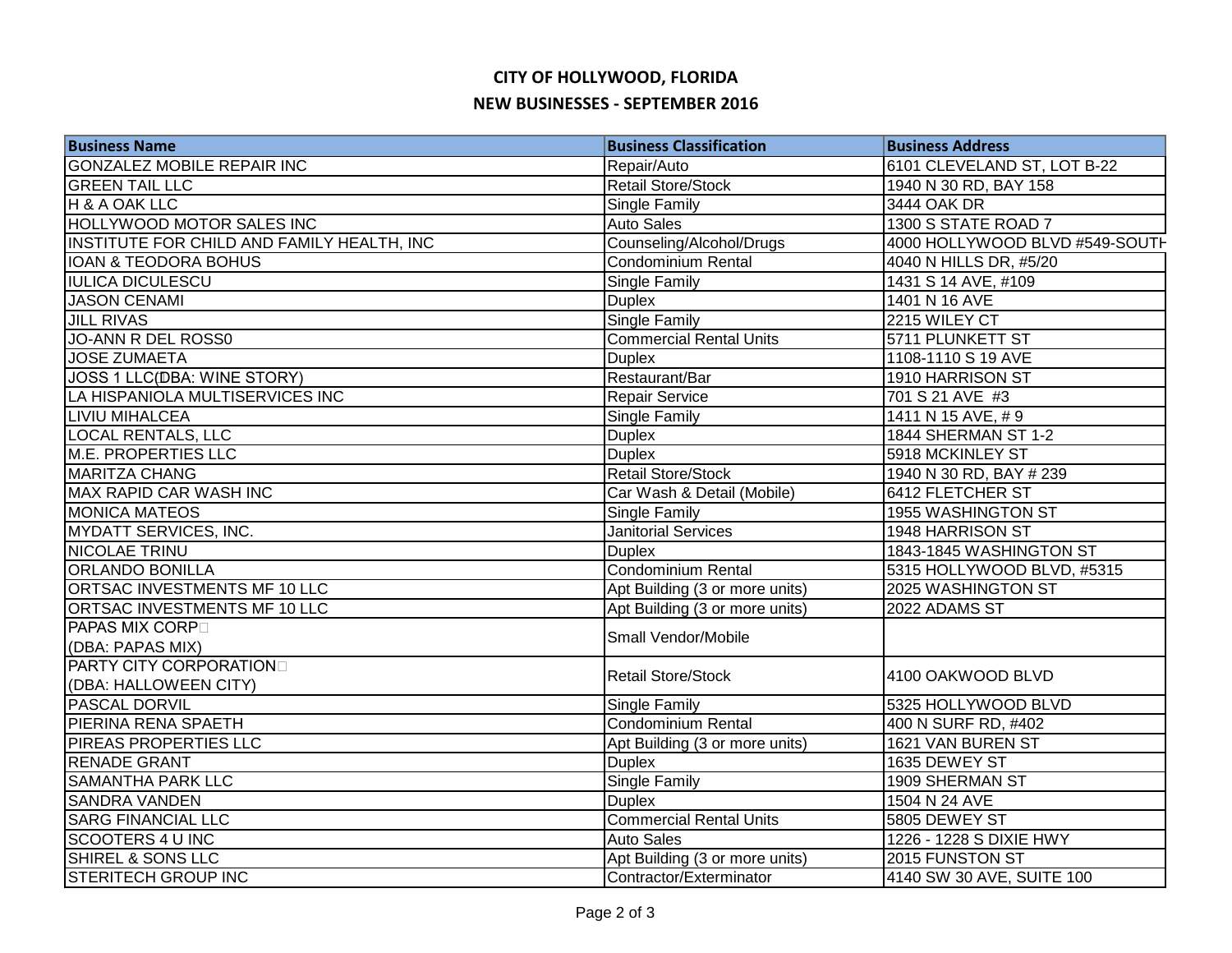## **CITY OF HOLLYWOOD, FLORIDA NEW BUSINESSES - SEPTEMBER 2016**

| <b>Business Name</b>                       | <b>Business Classification</b> | <b>Business Address</b>        |
|--------------------------------------------|--------------------------------|--------------------------------|
| <b>GONZALEZ MOBILE REPAIR INC</b>          | Repair/Auto                    | 6101 CLEVELAND ST, LOT B-22    |
| <b>GREEN TAIL LLC</b>                      | Retail Store/Stock             | 1940 N 30 RD, BAY 158          |
| H & A OAK LLC                              | Single Family                  | 3444 OAK DR                    |
| HOLLYWOOD MOTOR SALES INC                  | <b>Auto Sales</b>              | 1300 S STATE ROAD 7            |
| INSTITUTE FOR CHILD AND FAMILY HEALTH, INC | Counseling/Alcohol/Drugs       | 4000 HOLLYWOOD BLVD #549-SOUTH |
| <b>IOAN &amp; TEODORA BOHUS</b>            | Condominium Rental             | 4040 N HILLS DR, #5/20         |
| <b>IULICA DICULESCU</b>                    | Single Family                  | 1431 S 14 AVE, #109            |
| <b>JASON CENAMI</b>                        | <b>Duplex</b>                  | 1401 N 16 AVE                  |
| <b>JILL RIVAS</b>                          | Single Family                  | 2215 WILEY CT                  |
| JO-ANN R DEL ROSS0                         | <b>Commercial Rental Units</b> | 5711 PLUNKETT ST               |
| <b>JOSE ZUMAETA</b>                        | <b>Duplex</b>                  | 1108-1110 S 19 AVE             |
| JOSS 1 LLC(DBA: WINE STORY)                | Restaurant/Bar                 | 1910 HARRISON ST               |
| LA HISPANIOLA MULTISERVICES INC            | Repair Service                 | 701 S 21 AVE #3                |
| <b>LIVIU MIHALCEA</b>                      | Single Family                  | 1411 N 15 AVE, #9              |
| <b>LOCAL RENTALS, LLC</b>                  | <b>Duplex</b>                  | 1844 SHERMAN ST 1-2            |
| <b>M.E. PROPERTIES LLC</b>                 | <b>Duplex</b>                  | 5918 MCKINLEY ST               |
| <b>MARITZA CHANG</b>                       | <b>Retail Store/Stock</b>      | 1940 N 30 RD, BAY # 239        |
| <b>MAX RAPID CAR WASH INC</b>              | Car Wash & Detail (Mobile)     | <b>6412 FLETCHER ST</b>        |
| <b>MONICA MATEOS</b>                       | Single Family                  | 1955 WASHINGTON ST             |
| <b>MYDATT SERVICES, INC.</b>               | <b>Janitorial Services</b>     | 1948 HARRISON ST               |
| NICOLAE TRINU                              | <b>Duplex</b>                  | 1843-1845 WASHINGTON ST        |
| <b>ORLANDO BONILLA</b>                     | Condominium Rental             | 5315 HOLLYWOOD BLVD, #5315     |
| ORTSAC INVESTMENTS MF 10 LLC               | Apt Building (3 or more units) | 2025 WASHINGTON ST             |
| ORTSAC INVESTMENTS MF 10 LLC               | Apt Building (3 or more units) | 2022 ADAMS ST                  |
| <b>PAPAS MIX CORP</b>                      | Small Vendor/Mobile            |                                |
| (DBA: PAPAS MIX)                           |                                |                                |
| <b>PARTY CITY CORPORATION</b>              | <b>Retail Store/Stock</b>      | 4100 OAKWOOD BLVD              |
| (DBA: HALLOWEEN CITY)                      |                                |                                |
| PASCAL DORVIL                              | Single Family                  | 5325 HOLLYWOOD BLVD            |
| PIERINA RENA SPAETH                        | Condominium Rental             | 400 N SURF RD, #402            |
| PIREAS PROPERTIES LLC                      | Apt Building (3 or more units) | 1621 VAN BUREN ST              |
| <b>RENADE GRANT</b>                        | <b>Duplex</b>                  | 1635 DEWEY ST                  |
| <b>SAMANTHA PARK LLC</b>                   | Single Family                  | 1909 SHERMAN ST                |
| <b>SANDRA VANDEN</b>                       | <b>Duplex</b>                  | 1504 N 24 AVE                  |
| <b>SARG FINANCIAL LLC</b>                  | <b>Commercial Rental Units</b> | 5805 DEWEY ST                  |
| <b>SCOOTERS 4 U INC</b>                    | <b>Auto Sales</b>              | 1226 - 1228 S DIXIE HWY        |
| SHIREL & SONS LLC                          | Apt Building (3 or more units) | 2015 FUNSTON ST                |
| <b>STERITECH GROUP INC</b>                 | Contractor/Exterminator        | 4140 SW 30 AVE, SUITE 100      |